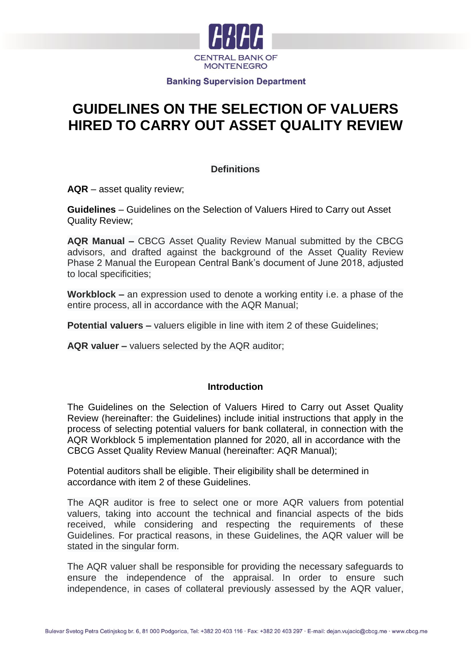

# **GUIDELINES ON THE SELECTION OF VALUERS HIRED TO CARRY OUT ASSET QUALITY REVIEW**

# **Definitions**

**AQR** – asset quality review;

**Guidelines** – Guidelines on the Selection of Valuers Hired to Carry out Asset Quality Review;

**AQR Manual –** CBCG Asset Quality Review Manual submitted by the CBCG advisors, and drafted against the background of the Asset Quality Review Phase 2 Manual the European Central Bank's document of June 2018, adjusted to local specificities;

**Workblock –** an expression used to denote a working entity i.e. a phase of the entire process, all in accordance with the AQR Manual;

**Potential valuers** – valuers eligible in line with item 2 of these Guidelines;

**AQR valuer –** valuers selected by the AQR auditor;

## **Introduction**

The Guidelines on the Selection of Valuers Hired to Carry out Asset Quality Review (hereinafter: the Guidelines) include initial instructions that apply in the process of selecting potential valuers for bank collateral, in connection with the AQR Workblock 5 implementation planned for 2020, all in accordance with the CBCG Asset Quality Review Manual (hereinafter: AQR Manual);

Potential auditors shall be eligible. Their eligibility shall be determined in accordance with item 2 of these Guidelines.

The AQR auditor is free to select one or more AQR valuers from potential valuers, taking into account the technical and financial aspects of the bids received, while considering and respecting the requirements of these Guidelines. For practical reasons, in these Guidelines, the AQR valuer will be stated in the singular form.

The AQR valuer shall be responsible for providing the necessary safeguards to ensure the independence of the appraisal. In order to ensure such independence, in cases of collateral previously assessed by the AQR valuer,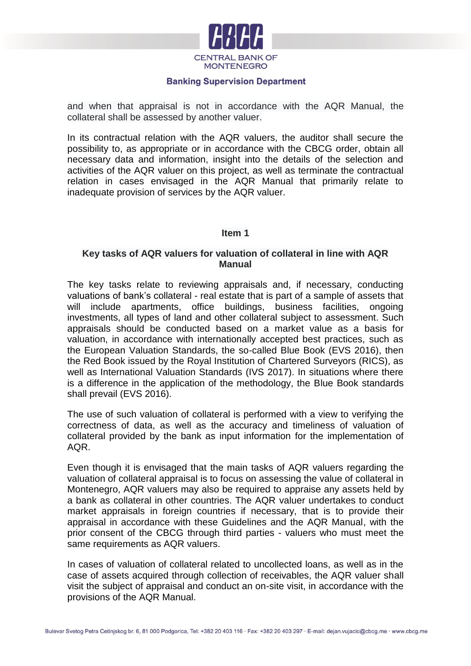

and when that appraisal is not in accordance with the AQR Manual, the collateral shall be assessed by another valuer.

In its contractual relation with the AQR valuers, the auditor shall secure the possibility to, as appropriate or in accordance with the CBCG order, obtain all necessary data and information, insight into the details of the selection and activities of the AQR valuer on this project, as well as terminate the contractual relation in cases envisaged in the AQR Manual that primarily relate to inadequate provision of services by the AQR valuer.

#### **Item 1**

## **Key tasks of AQR valuers for valuation of collateral in line with AQR Manual**

The key tasks relate to reviewing appraisals and, if necessary, conducting valuations of bank's collateral - real estate that is part of a sample of assets that will include apartments, office buildings, business facilities, ongoing investments, all types of land and other collateral subject to assessment. Such appraisals should be conducted based on a market value as a basis for valuation, in accordance with internationally accepted best practices, such as the European Valuation Standards, the so-called Blue Book (EVS 2016), then the Red Book issued by the Royal Institution of Chartered Surveyors (RICS), as well as International Valuation Standards (IVS 2017). In situations where there is a difference in the application of the methodology, the Blue Book standards shall prevail (EVS 2016).

The use of such valuation of collateral is performed with a view to verifying the correctness of data, as well as the accuracy and timeliness of valuation of collateral provided by the bank as input information for the implementation of AQR.

Even though it is envisaged that the main tasks of AQR valuers regarding the valuation of collateral appraisal is to focus on assessing the value of collateral in Montenegro, AQR valuers may also be required to appraise any assets held by a bank as collateral in other countries. The AQR valuer undertakes to conduct market appraisals in foreign countries if necessary, that is to provide their appraisal in accordance with these Guidelines and the AQR Manual, with the prior consent of the CBCG through third parties - valuers who must meet the same requirements as AQR valuers.

In cases of valuation of collateral related to uncollected loans, as well as in the case of assets acquired through collection of receivables, the AQR valuer shall visit the subject of appraisal and conduct an on-site visit, in accordance with the provisions of the AQR Manual.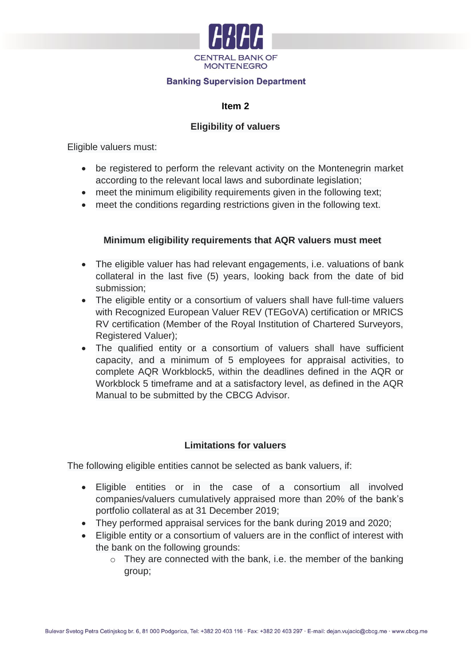

## **Item 2**

# **Eligibility of valuers**

Eligible valuers must:

- be registered to perform the relevant activity on the Montenegrin market according to the relevant local laws and subordinate legislation;
- meet the minimum eligibility requirements given in the following text;
- meet the conditions regarding restrictions given in the following text.

## **Minimum eligibility requirements that AQR valuers must meet**

- The eligible valuer has had relevant engagements, i.e. valuations of bank collateral in the last five (5) years, looking back from the date of bid submission;
- The eligible entity or a consortium of valuers shall have full-time valuers with Recognized European Valuer REV (TEGoVA) certification or MRICS RV certification (Member of the Royal Institution of Chartered Surveyors, Registered Valuer);
- The qualified entity or a consortium of valuers shall have sufficient capacity, and a minimum of 5 employees for appraisal activities, to complete AQR Workblock5, within the deadlines defined in the AQR or Workblock 5 timeframe and at a satisfactory level, as defined in the AQR Manual to be submitted by the CBCG Advisor.

# **Limitations for valuers**

The following eligible entities cannot be selected as bank valuers, if:

- Eligible entities or in the case of a consortium all involved companies/valuers cumulatively appraised more than 20% of the bank's portfolio collateral as at 31 December 2019;
- They performed appraisal services for the bank during 2019 and 2020;
- Eligible entity or a consortium of valuers are in the conflict of interest with the bank on the following grounds:
	- $\circ$  They are connected with the bank, i.e. the member of the banking group;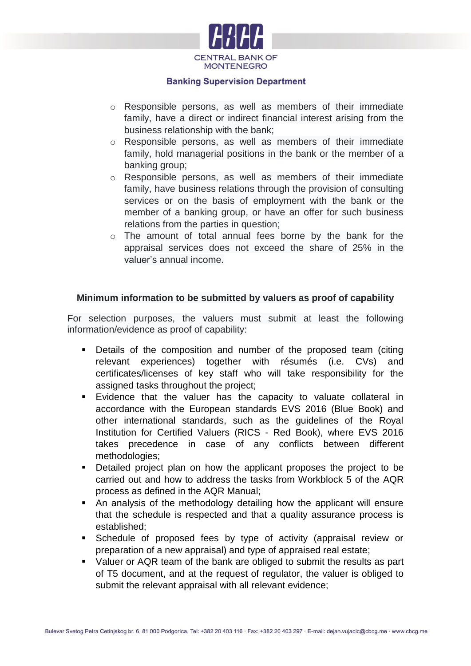

- o Responsible persons, as well as members of their immediate family, have a direct or indirect financial interest arising from the business relationship with the bank;
- o Responsible persons, as well as members of their immediate family, hold managerial positions in the bank or the member of a banking group;
- o Responsible persons, as well as members of their immediate family, have business relations through the provision of consulting services or on the basis of employment with the bank or the member of a banking group, or have an offer for such business relations from the parties in question;
- o The amount of total annual fees borne by the bank for the appraisal services does not exceed the share of 25% in the valuer's annual income.

# **Minimum information to be submitted by valuers as proof of capability**

For selection purposes, the valuers must submit at least the following information/evidence as proof of capability:

- Details of the composition and number of the proposed team (citing relevant experiences) together with résumés (i.e. CVs) and certificates/licenses of key staff who will take responsibility for the assigned tasks throughout the project;
- Evidence that the valuer has the capacity to valuate collateral in accordance with the European standards EVS 2016 (Blue Book) and other international standards, such as the guidelines of the Royal Institution for Certified Valuers (RICS - Red Book), where EVS 2016 takes precedence in case of any conflicts between different methodologies;
- Detailed project plan on how the applicant proposes the project to be carried out and how to address the tasks from Workblock 5 of the AQR process as defined in the AQR Manual;
- An analysis of the methodology detailing how the applicant will ensure that the schedule is respected and that a quality assurance process is established;
- Schedule of proposed fees by type of activity (appraisal review or preparation of a new appraisal) and type of appraised real estate;
- Valuer or AQR team of the bank are obliged to submit the results as part of T5 document, and at the request of regulator, the valuer is obliged to submit the relevant appraisal with all relevant evidence;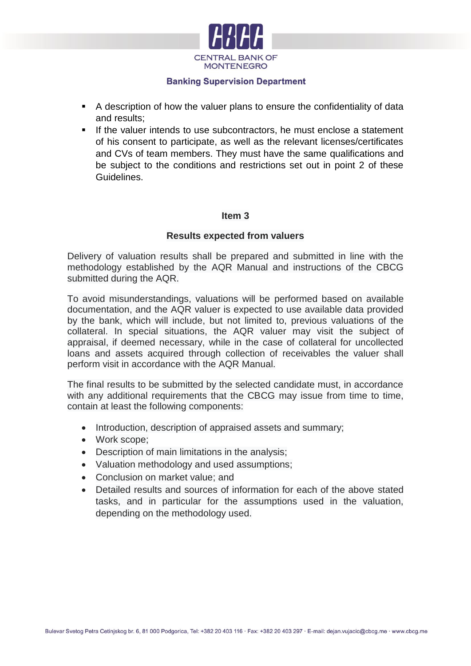

- A description of how the valuer plans to ensure the confidentiality of data and results;
- If the valuer intends to use subcontractors, he must enclose a statement of his consent to participate, as well as the relevant licenses/certificates and CVs of team members. They must have the same qualifications and be subject to the conditions and restrictions set out in point 2 of these Guidelines.

## **Item 3**

## **Results expected from valuers**

Delivery of valuation results shall be prepared and submitted in line with the methodology established by the AQR Manual and instructions of the CBCG submitted during the AQR.

To avoid misunderstandings, valuations will be performed based on available documentation, and the AQR valuer is expected to use available data provided by the bank, which will include, but not limited to, previous valuations of the collateral. In special situations, the AQR valuer may visit the subject of appraisal, if deemed necessary, while in the case of collateral for uncollected loans and assets acquired through collection of receivables the valuer shall perform visit in accordance with the AQR Manual.

The final results to be submitted by the selected candidate must, in accordance with any additional requirements that the CBCG may issue from time to time, contain at least the following components:

- Introduction, description of appraised assets and summary;
- Work scope:
- Description of main limitations in the analysis;
- Valuation methodology and used assumptions;
- Conclusion on market value: and
- Detailed results and sources of information for each of the above stated tasks, and in particular for the assumptions used in the valuation, depending on the methodology used.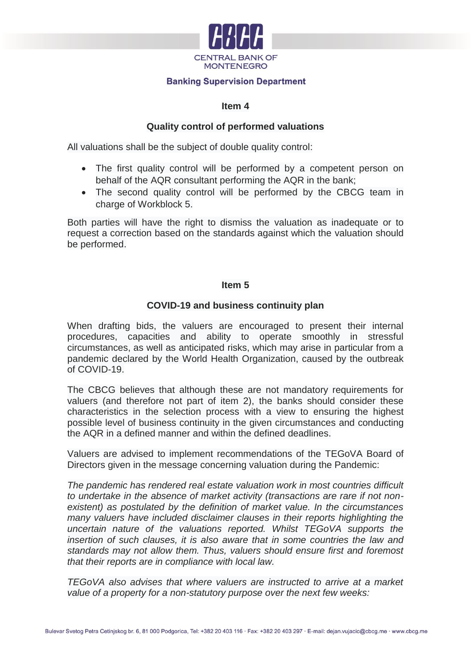

#### **Item 4**

## **Quality control of performed valuations**

All valuations shall be the subject of double quality control:

- The first quality control will be performed by a competent person on behalf of the AQR consultant performing the AQR in the bank;
- The second quality control will be performed by the CBCG team in charge of Workblock 5.

Both parties will have the right to dismiss the valuation as inadequate or to request a correction based on the standards against which the valuation should be performed.

## **Item 5**

# **COVID-19 and business continuity plan**

When drafting bids, the valuers are encouraged to present their internal procedures, capacities and ability to operate smoothly in stressful circumstances, as well as anticipated risks, which may arise in particular from a pandemic declared by the World Health Organization, caused by the outbreak of COVID-19.

The CBCG believes that although these are not mandatory requirements for valuers (and therefore not part of item 2), the banks should consider these characteristics in the selection process with a view to ensuring the highest possible level of business continuity in the given circumstances and conducting the AQR in a defined manner and within the defined deadlines.

Valuers are advised to implement recommendations of the TEGoVA Board of Directors given in the message concerning valuation during the Pandemic:

*The pandemic has rendered real estate valuation work in most countries difficult to undertake in the absence of market activity (transactions are rare if not nonexistent) as postulated by the definition of market value. In the circumstances many valuers have included disclaimer clauses in their reports highlighting the uncertain nature of the valuations reported. Whilst TEGoVA supports the insertion of such clauses, it is also aware that in some countries the law and standards may not allow them. Thus, valuers should ensure first and foremost that their reports are in compliance with local law.*

*TEGoVA also advises that where valuers are instructed to arrive at a market value of a property for a non-statutory purpose over the next few weeks:*